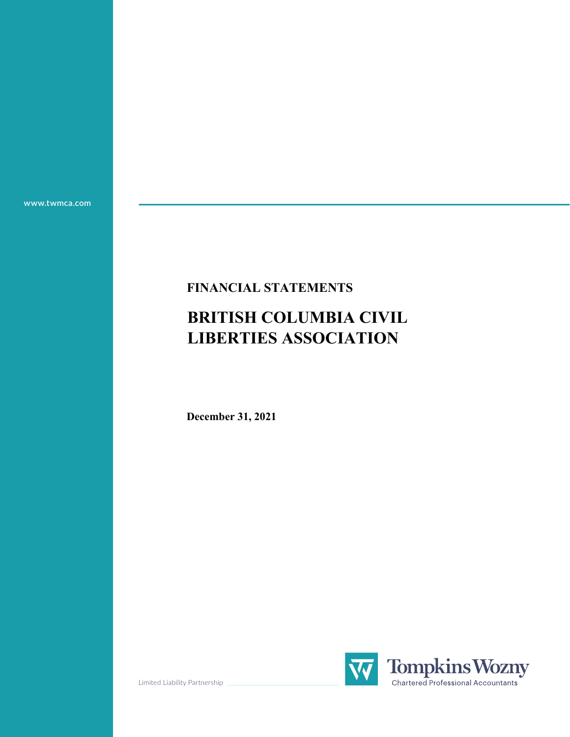**www.twmca.com**

# **BRITISH COLUMBIA CIVIL FINANCIAL STATEMENTS LIBERTIES ASSOCIATION**

**December 31, 2021**



Limited Liability Partnership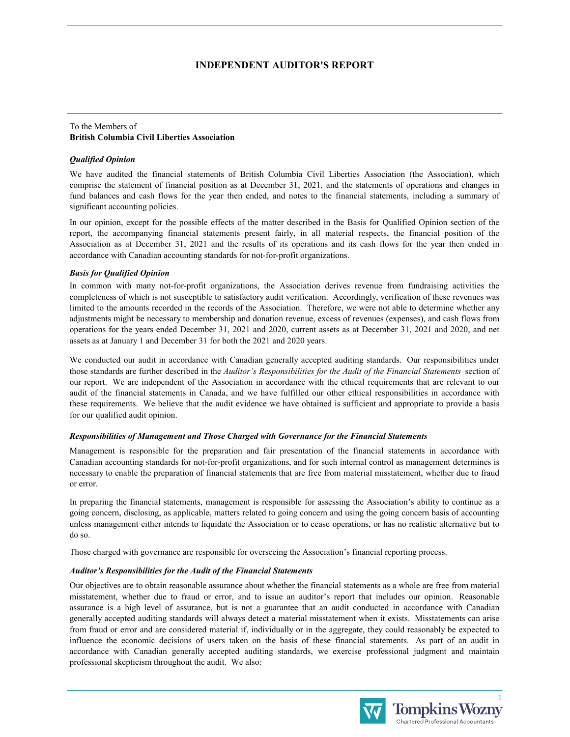#### **INDEPENDENT AUDITOR'S REPORT**

#### **British Columbia Civil Liberties Association**  To the Members of

#### *Qualified Opinion*

We have audited the financial statements of British Columbia Civil Liberties Association (the Association), which comprise the statement of financial position as at December 31, 2021, and the statements of operations and changes in fund balances and cash flows for the year then ended, and notes to the financial statements, including a summary of significant accounting policies.

In our opinion, except for the possible effects of the matter described in the Basis for Qualified Opinion section of the report, the accompanying financial statements present fairly, in all material respects, the financial position of the Association as at December 31, 2021 and the results of its operations and its cash flows for the year then ended in accordance with Canadian accounting standards for not-for-profit organizations.

#### *Basis for Qualified Opinion*

In common with many not-for-profit organizations, the Association derives revenue from fundraising activities the completeness of which is not susceptible to satisfactory audit verification. Accordingly, verification of these revenues was limited to the amounts recorded in the records of the Association. Therefore, we were not able to determine whether any adjustments might be necessary to membership and donation revenue, excess of revenues (expenses), and cash flows from operations for the years ended December 31, 2021 and 2020, current assets as at December 31, 2021 and 2020, and net assets as at January 1 and December 31 for both the 2021 and 2020 years.

We conducted our audit in accordance with Canadian generally accepted auditing standards. Our responsibilities under those standards are further described in the *Auditor's Responsibilities for the Audit of the Financial Statements* section of our report. We are independent of the Association in accordance with the ethical requirements that are relevant to our audit of the financial statements in Canada, and we have fulfilled our other ethical responsibilities in accordance with these requirements. We believe that the audit evidence we have obtained is sufficient and appropriate to provide a basis for our qualified audit opinion.

#### *Responsibilities of Management and Those Charged with Governance for the Financial Statements*

Management is responsible for the preparation and fair presentation of the financial statements in accordance with Canadian accounting standards for not-for-profit organizations, and for such internal control as management determines is necessary to enable the preparation of financial statements that are free from material misstatement, whether due to fraud or error.

In preparing the financial statements, management is responsible for assessing the Association's ability to continue as a going concern, disclosing, as applicable, matters related to going concern and using the going concern basis of accounting unless management either intends to liquidate the Association or to cease operations, or has no realistic alternative but to do so.

Those charged with governance are responsible for overseeing the Association's financial reporting process.

#### *Auditor's Responsibilities for the Audit of the Financial Statements*

Our objectives are to obtain reasonable assurance about whether the financial statements as a whole are free from material misstatement, whether due to fraud or error, and to issue an auditor's report that includes our opinion. Reasonable assurance is a high level of assurance, but is not a guarantee that an audit conducted in accordance with Canadian generally accepted auditing standards will always detect a material misstatement when it exists. Misstatements can arise from fraud or error and are considered material if, individually or in the aggregate, they could reasonably be expected to influence the economic decisions of users taken on the basis of these financial statements. As part of an audit in accordance with Canadian generally accepted auditing standards, we exercise professional judgment and maintain professional skepticism throughout the audit. We also:

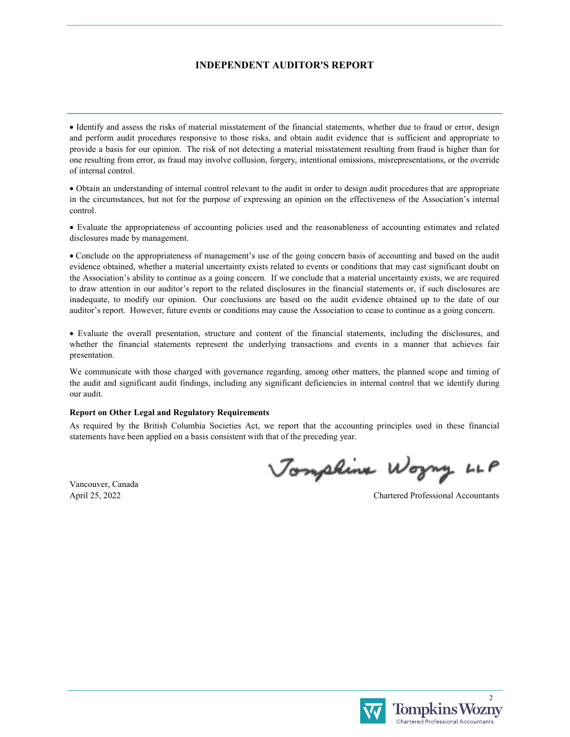#### **INDEPENDENT AUDITOR'S REPORT**

 Identify and assess the risks of material misstatement of the financial statements, whether due to fraud or error, design and perform audit procedures responsive to those risks, and obtain audit evidence that is sufficient and appropriate to provide a basis for our opinion. The risk of not detecting a material misstatement resulting from fraud is higher than for one resulting from error, as fraud may involve collusion, forgery, intentional omissions, misrepresentations, or the override of internal control.

 Obtain an understanding of internal control relevant to the audit in order to design audit procedures that are appropriate in the circumstances, but not for the purpose of expressing an opinion on the effectiveness of the Association's internal control.

 Evaluate the appropriateness of accounting policies used and the reasonableness of accounting estimates and related disclosures made by management.

 Conclude on the appropriateness of management's use of the going concern basis of accounting and based on the audit evidence obtained, whether a material uncertainty exists related to events or conditions that may cast significant doubt on the Association's ability to continue as a going concern. If we conclude that a material uncertainty exists, we are required to draw attention in our auditor's report to the related disclosures in the financial statements or, if such disclosures are inadequate, to modify our opinion. Our conclusions are based on the audit evidence obtained up to the date of our auditor's report. However, future events or conditions may cause the Association to cease to continue as a going concern.

 Evaluate the overall presentation, structure and content of the financial statements, including the disclosures, and whether the financial statements represent the underlying transactions and events in a manner that achieves fair presentation.

We communicate with those charged with governance regarding, among other matters, the planned scope and timing of the audit and significant audit findings, including any significant deficiencies in internal control that we identify during our audit.

#### **Report on Other Legal and Regulatory Requirements**

As required by the British Columbia Societies Act, we report that the accounting principles used in these financial statements have been applied on a basis consistent with that of the preceding year.

Jonphine Wogny LLP

Vancouver, Canada

April 25, 2022 Chartered Professional Accountants



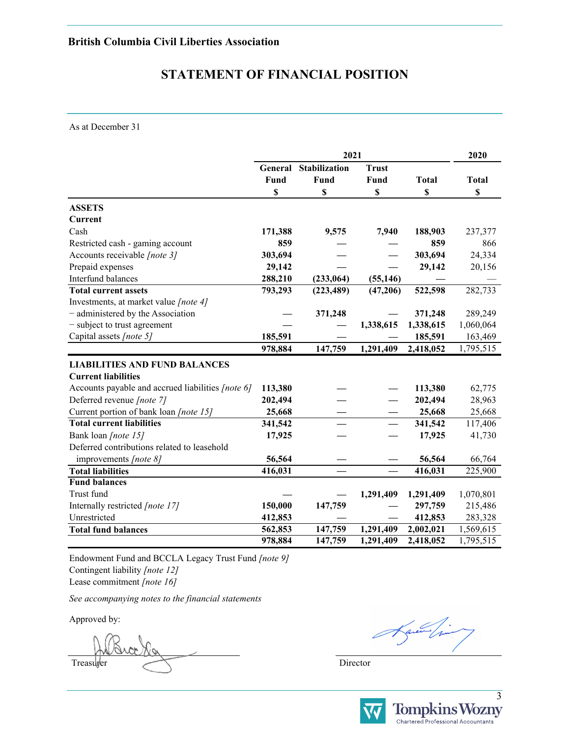# **STATEMENT OF FINANCIAL POSITION**

As at December 31

|                                                   |         | 2021                 |              |              | 2020         |
|---------------------------------------------------|---------|----------------------|--------------|--------------|--------------|
|                                                   | General | <b>Stabilization</b> | <b>Trust</b> |              |              |
|                                                   | Fund    | Fund                 | Fund         | <b>Total</b> | <b>Total</b> |
|                                                   | \$      | \$                   | \$           | $\mathbb S$  | \$           |
| <b>ASSETS</b>                                     |         |                      |              |              |              |
| <b>Current</b>                                    |         |                      |              |              |              |
| Cash                                              | 171,388 | 9,575                | 7,940        | 188,903      | 237,377      |
| Restricted cash - gaming account                  | 859     |                      |              | 859          | 866          |
| Accounts receivable [note 3]                      | 303,694 |                      |              | 303,694      | 24,334       |
| Prepaid expenses                                  | 29,142  |                      |              | 29,142       | 20,156       |
| Interfund balances                                | 288,210 | (233, 064)           | (55, 146)    |              |              |
| <b>Total current assets</b>                       | 793,293 | (223, 489)           | (47,206)     | 522,598      | 282,733      |
| Investments, at market value [note 4]             |         |                      |              |              |              |
| - administered by the Association                 |         | 371,248              |              | 371,248      | 289,249      |
| - subject to trust agreement                      |         |                      | 1,338,615    | 1,338,615    | 1,060,064    |
| Capital assets [note 5]                           | 185,591 |                      |              | 185,591      | 163,469      |
|                                                   | 978,884 | 147,759              | 1,291,409    | 2,418,052    | 1,795,515    |
| <b>LIABILITIES AND FUND BALANCES</b>              |         |                      |              |              |              |
| <b>Current liabilities</b>                        |         |                      |              |              |              |
| Accounts payable and accrued liabilities [note 6] | 113,380 |                      |              | 113,380      | 62,775       |
| Deferred revenue [note 7]                         | 202,494 |                      |              | 202,494      | 28,963       |
| Current portion of bank loan [note 15]            | 25,668  |                      |              | 25,668       | 25,668       |
| <b>Total current liabilities</b>                  | 341,542 |                      |              | 341,542      | 117,406      |
| Bank loan [note 15]                               | 17,925  |                      |              | 17,925       | 41,730       |
| Deferred contributions related to leasehold       |         |                      |              |              |              |
| improvements [note 8]                             | 56,564  |                      |              | 56,564       | 66,764       |
| <b>Total liabilities</b>                          | 416,031 |                      |              | 416,031      | 225,900      |
| <b>Fund balances</b>                              |         |                      |              |              |              |
| Trust fund                                        |         |                      | 1,291,409    | 1,291,409    | 1,070,801    |
| Internally restricted [note 17]                   | 150,000 | 147,759              |              | 297,759      | 215,486      |
| Unrestricted                                      | 412,853 |                      |              | 412,853      | 283,328      |
| <b>Total fund balances</b>                        | 562,853 | 147,759              | 1,291,409    | 2,002,021    | 1,569,615    |
|                                                   | 978,884 | 147,759              | 1,291,409    | 2,418,052    | 1,795,515    |

Endowment Fund and BCCLA Legacy Trust Fund *[note 9]*

Contingent liability *[note 12]*

Lease commitment *[note 16]*

*See accompanying notes to the financial statements*

Approved by:

Treasurer Director

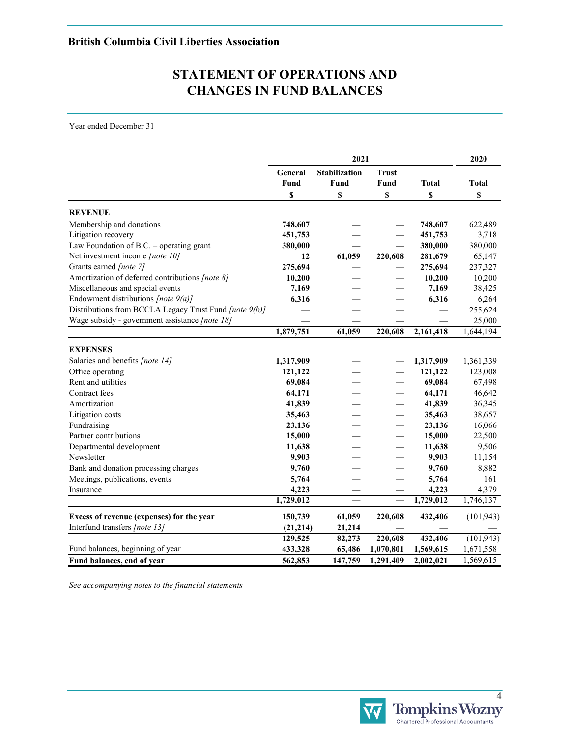# **STATEMENT OF OPERATIONS AND CHANGES IN FUND BALANCES**

Year ended December 31

|                                                        |           |                      | 2020                     |              |              |
|--------------------------------------------------------|-----------|----------------------|--------------------------|--------------|--------------|
|                                                        | General   | <b>Stabilization</b> | <b>Trust</b>             |              |              |
|                                                        | Fund      | Fund                 | Fund                     | <b>Total</b> | <b>Total</b> |
|                                                        | \$        | \$                   | \$                       | \$           | \$           |
| <b>REVENUE</b>                                         |           |                      |                          |              |              |
| Membership and donations                               | 748,607   |                      |                          | 748,607      | 622,489      |
| Litigation recovery                                    | 451,753   |                      |                          | 451,753      | 3,718        |
| Law Foundation of B.C. - operating grant               | 380,000   |                      |                          | 380,000      | 380,000      |
| Net investment income [note 10]                        | 12        | 61,059               | 220,608                  | 281,679      | 65,147       |
| Grants earned [note 7]                                 | 275,694   |                      |                          | 275,694      | 237,327      |
| Amortization of deferred contributions [note 8]        | 10,200    |                      |                          | 10,200       | 10,200       |
| Miscellaneous and special events                       | 7,169     |                      |                          | 7,169        | 38,425       |
| Endowment distributions [note $9(a)$ ]                 | 6,316     |                      |                          | 6,316        | 6,264        |
| Distributions from BCCLA Legacy Trust Fund [note 9(b)] |           |                      |                          |              | 255,624      |
| Wage subsidy - government assistance [note 18]         |           |                      |                          |              | 25,000       |
|                                                        | 1,879,751 | 61,059               | 220,608                  | 2,161,418    | 1,644,194    |
| <b>EXPENSES</b>                                        |           |                      |                          |              |              |
| Salaries and benefits [note 14]                        | 1,317,909 |                      |                          | 1,317,909    | 1,361,339    |
| Office operating                                       | 121,122   |                      |                          | 121,122      | 123,008      |
| Rent and utilities                                     | 69,084    |                      |                          | 69,084       | 67,498       |
| Contract fees                                          | 64,171    |                      |                          | 64,171       | 46,642       |
| Amortization                                           | 41,839    |                      |                          | 41,839       | 36,345       |
| Litigation costs                                       | 35,463    |                      | $\overline{\phantom{0}}$ | 35,463       | 38,657       |
| Fundraising                                            | 23,136    |                      |                          | 23,136       | 16,066       |
| Partner contributions                                  | 15,000    |                      |                          | 15,000       | 22,500       |
| Departmental development                               | 11,638    |                      |                          | 11,638       | 9,506        |
| Newsletter                                             | 9,903     |                      |                          | 9,903        | 11,154       |
| Bank and donation processing charges                   | 9,760     |                      |                          | 9,760        | 8,882        |
| Meetings, publications, events                         | 5,764     |                      |                          | 5,764        | 161          |
| Insurance                                              | 4,223     |                      |                          | 4,223        | 4,379        |
|                                                        | 1,729,012 |                      |                          | 1,729,012    | 1,746,137    |
| Excess of revenue (expenses) for the year              | 150,739   | 61,059               | 220,608                  | 432,406      | (101, 943)   |
| Interfund transfers [note 13]                          | (21, 214) | 21,214               |                          |              |              |
|                                                        | 129,525   | 82,273               | 220,608                  | 432,406      | (101, 943)   |
| Fund balances, beginning of year                       | 433,328   | 65,486               | 1,070,801                | 1,569,615    | 1,671,558    |
| Fund balances, end of year                             | 562,853   | 147,759              | 1,291,409                | 2,002,021    | 1,569,615    |

*See accompanying notes to the financial statements*

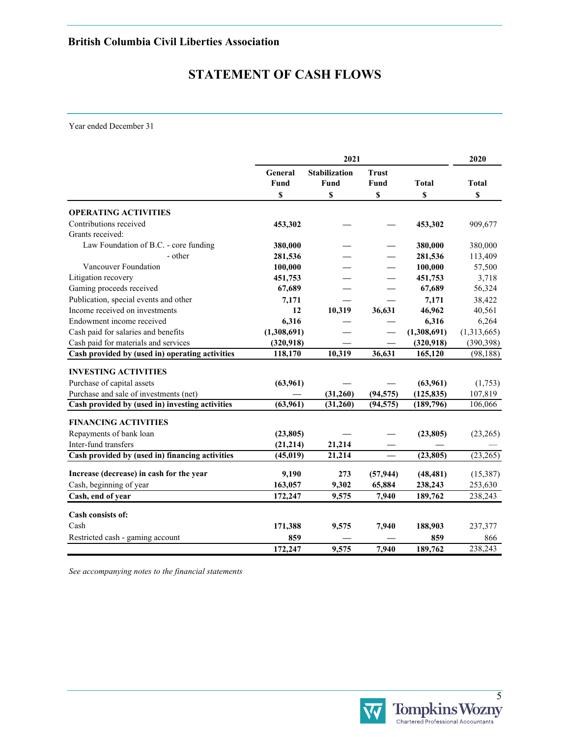# **STATEMENT OF CASH FLOWS**

Year ended December 31

|                                                 |                 | 2021                         |                      |              | 2020         |
|-------------------------------------------------|-----------------|------------------------------|----------------------|--------------|--------------|
|                                                 | General<br>Fund | <b>Stabilization</b><br>Fund | <b>Trust</b><br>Fund | <b>Total</b> | <b>Total</b> |
|                                                 | \$              | \$                           | \$                   | \$           | \$           |
| <b>OPERATING ACTIVITIES</b>                     |                 |                              |                      |              |              |
| Contributions received                          | 453,302         |                              |                      | 453,302      | 909,677      |
| Grants received:                                |                 |                              |                      |              |              |
| Law Foundation of B.C. - core funding           | 380,000         |                              |                      | 380,000      | 380,000      |
| - other                                         | 281,536         |                              |                      | 281,536      | 113,409      |
| Vancouver Foundation                            | 100,000         |                              |                      | 100,000      | 57,500       |
| Litigation recovery                             | 451,753         |                              |                      | 451,753      | 3,718        |
| Gaming proceeds received                        | 67,689          |                              |                      | 67,689       | 56,324       |
| Publication, special events and other           | 7,171           |                              |                      | 7,171        | 38,422       |
| Income received on investments                  | 12              | 10,319                       | 36,631               | 46,962       | 40,561       |
| Endowment income received                       | 6,316           |                              |                      | 6,316        | 6,264        |
| Cash paid for salaries and benefits             | (1,308,691)     |                              |                      | (1,308,691)  | (1,313,665)  |
| Cash paid for materials and services            | (320, 918)      |                              |                      | (320, 918)   | (390, 398)   |
| Cash provided by (used in) operating activities | 118,170         | 10,319                       | 36,631               | 165,120      | (98, 188)    |
| <b>INVESTING ACTIVITIES</b>                     |                 |                              |                      |              |              |
| Purchase of capital assets                      | (63,961)        |                              |                      | (63,961)     | (1,753)      |
| Purchase and sale of investments (net)          |                 | (31,260)                     | (94, 575)            | (125, 835)   | 107,819      |
| Cash provided by (used in) investing activities | (63,961)        | (31,260)                     | (94, 575)            | (189,796)    | 106,066      |
| <b>FINANCING ACTIVITIES</b>                     |                 |                              |                      |              |              |
| Repayments of bank loan                         | (23, 805)       |                              |                      | (23, 805)    | (23,265)     |
| Inter-fund transfers                            | (21, 214)       | 21,214                       |                      |              |              |
| Cash provided by (used in) financing activities | (45, 019)       | 21,214                       |                      | (23, 805)    | (23,265)     |
|                                                 |                 |                              |                      |              |              |
| Increase (decrease) in cash for the year        | 9,190           | 273                          | (57, 944)            | (48, 481)    | (15, 387)    |
| Cash, beginning of year                         | 163,057         | 9,302                        | 65,884               | 238,243      | 253,630      |
| Cash, end of year                               | 172,247         | 9,575                        | 7,940                | 189,762      | 238,243      |
| <b>Cash consists of:</b>                        |                 |                              |                      |              |              |
| Cash                                            | 171,388         | 9,575                        | 7,940                | 188,903      | 237,377      |
| Restricted cash - gaming account                | 859             |                              |                      | 859          | 866          |
|                                                 | 172,247         | 9,575                        | 7,940                | 189,762      | 238,243      |

*See accompanying notes to the financial statements*

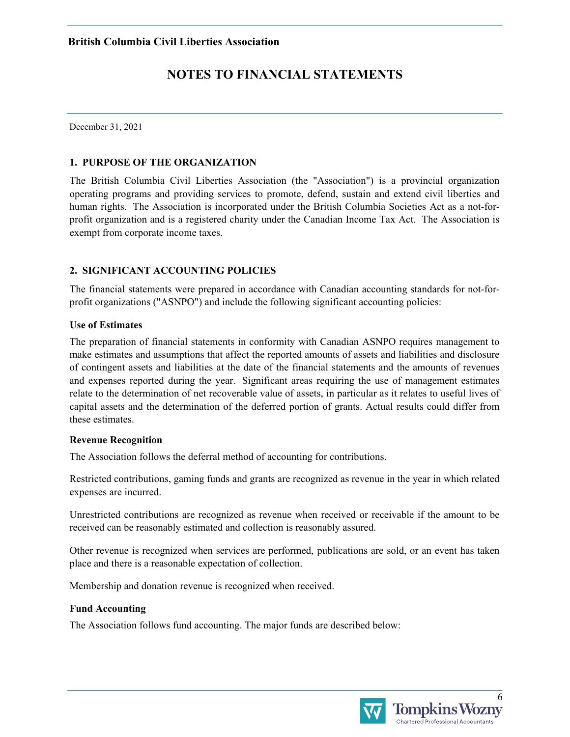December 31, 2021

#### **1. PURPOSE OF THE ORGANIZATION**

The British Columbia Civil Liberties Association (the "Association") is a provincial organization operating programs and providing services to promote, defend, sustain and extend civil liberties and human rights. The Association is incorporated under the British Columbia Societies Act as a not-forprofit organization and is a registered charity under the Canadian Income Tax Act. The Association is exempt from corporate income taxes.

#### **2. SIGNIFICANT ACCOUNTING POLICIES**

The financial statements were prepared in accordance with Canadian accounting standards for not-forprofit organizations ("ASNPO") and include the following significant accounting policies:

#### **Use of Estimates**

The preparation of financial statements in conformity with Canadian ASNPO requires management to make estimates and assumptions that affect the reported amounts of assets and liabilities and disclosure of contingent assets and liabilities at the date of the financial statements and the amounts of revenues and expenses reported during the year. Significant areas requiring the use of management estimates relate to the determination of net recoverable value of assets, in particular as it relates to useful lives of capital assets and the determination of the deferred portion of grants. Actual results could differ from these estimates.

#### **Revenue Recognition**

The Association follows the deferral method of accounting for contributions.

Restricted contributions, gaming funds and grants are recognized as revenue in the year in which related expenses are incurred.

Unrestricted contributions are recognized as revenue when received or receivable if the amount to be received can be reasonably estimated and collection is reasonably assured.

Other revenue is recognized when services are performed, publications are sold, or an event has taken place and there is a reasonable expectation of collection.

Membership and donation revenue is recognized when received.

#### **Fund Accounting**

The Association follows fund accounting. The major funds are described below:



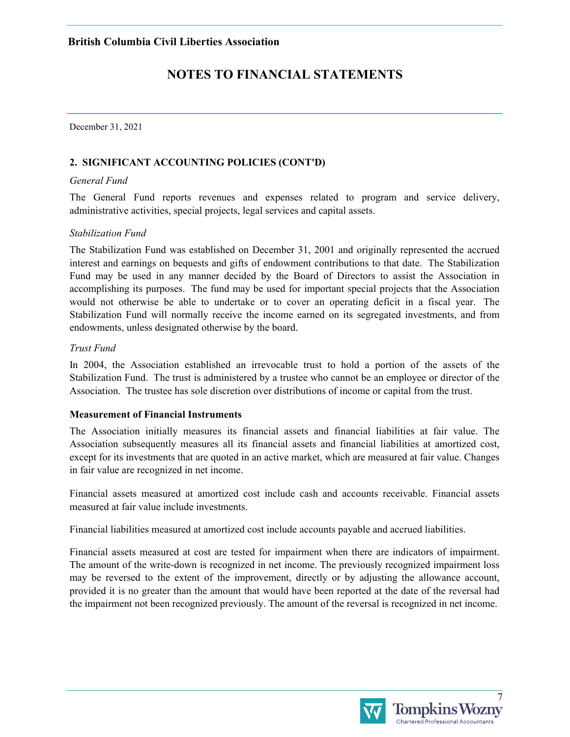December 31, 2021

#### **2. SIGNIFICANT ACCOUNTING POLICIES (CONT'D)**

#### *General Fund*

The General Fund reports revenues and expenses related to program and service delivery, administrative activities, special projects, legal services and capital assets.

#### *Stabilization Fund*

The Stabilization Fund was established on December 31, 2001 and originally represented the accrued interest and earnings on bequests and gifts of endowment contributions to that date. The Stabilization Fund may be used in any manner decided by the Board of Directors to assist the Association in accomplishing its purposes. The fund may be used for important special projects that the Association would not otherwise be able to undertake or to cover an operating deficit in a fiscal year. The Stabilization Fund will normally receive the income earned on its segregated investments, and from endowments, unless designated otherwise by the board.

#### *Trust Fund*

In 2004, the Association established an irrevocable trust to hold a portion of the assets of the Stabilization Fund. The trust is administered by a trustee who cannot be an employee or director of the Association. The trustee has sole discretion over distributions of income or capital from the trust.

#### **Measurement of Financial Instruments**

The Association initially measures its financial assets and financial liabilities at fair value. The Association subsequently measures all its financial assets and financial liabilities at amortized cost, except for its investments that are quoted in an active market, which are measured at fair value. Changes in fair value are recognized in net income.

Financial assets measured at amortized cost include cash and accounts receivable. Financial assets measured at fair value include investments.

Financial liabilities measured at amortized cost include accounts payable and accrued liabilities.

Financial assets measured at cost are tested for impairment when there are indicators of impairment. The amount of the write-down is recognized in net income. The previously recognized impairment loss may be reversed to the extent of the improvement, directly or by adjusting the allowance account, provided it is no greater than the amount that would have been reported at the date of the reversal had the impairment not been recognized previously. The amount of the reversal is recognized in net income.

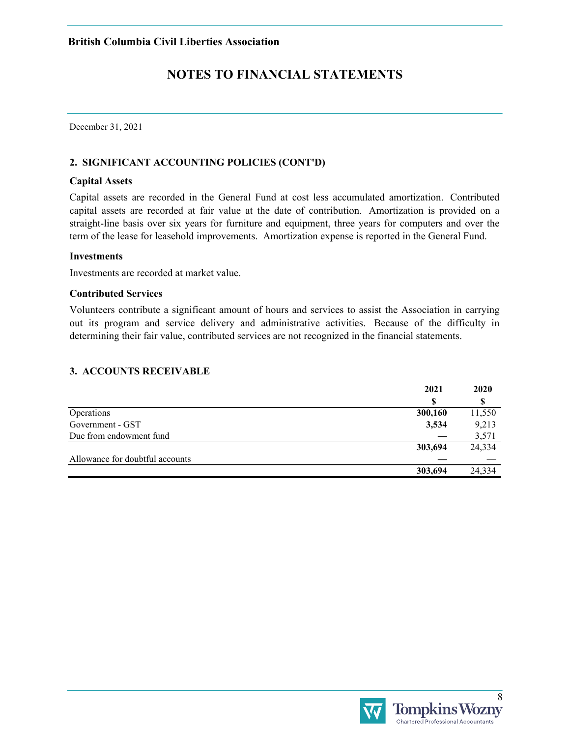December 31, 2021

### **2. SIGNIFICANT ACCOUNTING POLICIES (CONT'D)**

#### **Capital Assets**

Capital assets are recorded in the General Fund at cost less accumulated amortization. Contributed capital assets are recorded at fair value at the date of contribution. Amortization is provided on a straight-line basis over six years for furniture and equipment, three years for computers and over the term of the lease for leasehold improvements. Amortization expense is reported in the General Fund.

#### **Investments**

Investments are recorded at market value.

#### **Contributed Services**

Volunteers contribute a significant amount of hours and services to assist the Association in carrying out its program and service delivery and administrative activities. Because of the difficulty in determining their fair value, contributed services are not recognized in the financial statements.

### **3. ACCOUNTS RECEIVABLE**

|                                 | 2021    | 2020   |
|---------------------------------|---------|--------|
|                                 |         | \$     |
| Operations                      | 300,160 | 11,550 |
| Government - GST                | 3,534   | 9,213  |
| Due from endowment fund         |         | 3,571  |
|                                 | 303,694 | 24,334 |
| Allowance for doubtful accounts |         |        |
|                                 | 303,694 | 24,334 |

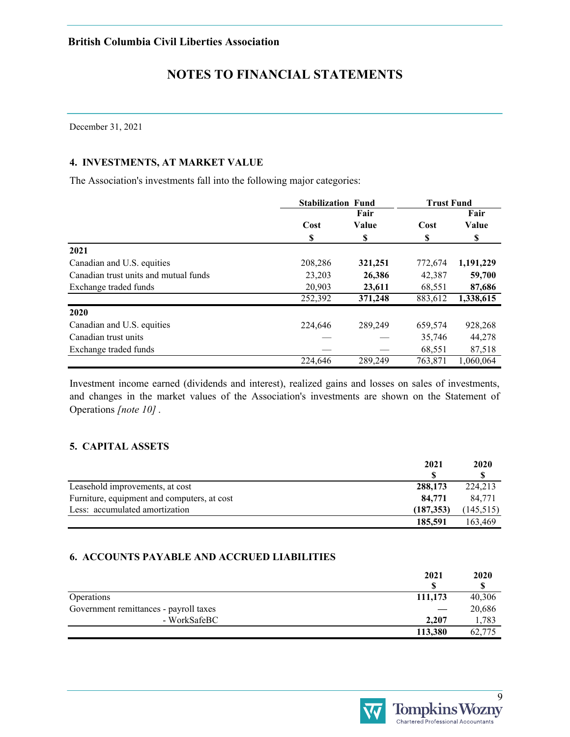December 31, 2021

#### **4. INVESTMENTS, AT MARKET VALUE**

The Association's investments fall into the following major categories:

|                                       | <b>Stabilization Fund</b> |               | <b>Trust Fund</b> |               |
|---------------------------------------|---------------------------|---------------|-------------------|---------------|
|                                       | Cost                      | Fair<br>Value | Cost              | Fair<br>Value |
|                                       | \$                        | \$            | \$                | \$            |
| 2021                                  |                           |               |                   |               |
| Canadian and U.S. equities            | 208,286                   | 321,251       | 772,674           | 1,191,229     |
| Canadian trust units and mutual funds | 23,203                    | 26,386        | 42,387            | 59,700        |
| Exchange traded funds                 | 20,903                    | 23,611        | 68,551            | 87,686        |
|                                       | 252,392                   | 371,248       | 883,612           | 1,338,615     |
| 2020                                  |                           |               |                   |               |
| Canadian and U.S. equities            | 224,646                   | 289,249       | 659,574           | 928,268       |
| Canadian trust units                  |                           |               | 35,746            | 44,278        |
| Exchange traded funds                 |                           |               | 68,551            | 87,518        |
|                                       | 224,646                   | 289,249       | 763,871           | 1.060.064     |

Investment income earned (dividends and interest), realized gains and losses on sales of investments, and changes in the market values of the Association's investments are shown on the Statement of Operations *[note 10]* .

#### **5. CAPITAL ASSETS**

|                                             | 2021       | 2020       |
|---------------------------------------------|------------|------------|
|                                             |            |            |
| Leasehold improvements, at cost             | 288,173    | 224,213    |
| Furniture, equipment and computers, at cost | 84.771     | 84.771     |
| Less: accumulated amortization              | (187, 353) | (145, 515) |
|                                             | 185.591    | 163.469    |

#### **6. ACCOUNTS PAYABLE AND ACCRUED LIABILITIES**

|                                        | 2021    | 2020   |
|----------------------------------------|---------|--------|
|                                        |         |        |
| Operations                             | 111,173 | 40,306 |
| Government remittances - payroll taxes |         | 20,686 |
| - WorkSafeBC                           | 2.207   | 1,783  |
|                                        | 113,380 | 62,775 |

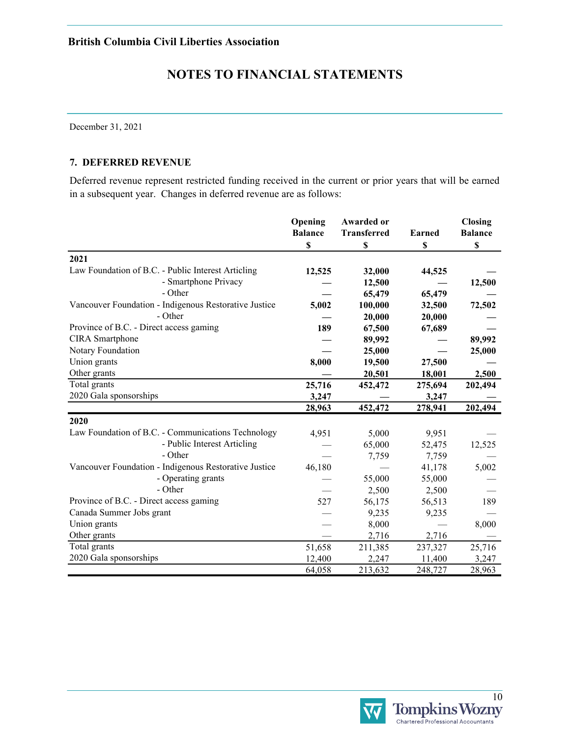December 31, 2021

#### **7. DEFERRED REVENUE**

Deferred revenue represent restricted funding received in the current or prior years that will be earned in a subsequent year. Changes in deferred revenue are as follows:

|                                                       | Opening        | Awarded or         |               | <b>Closing</b> |
|-------------------------------------------------------|----------------|--------------------|---------------|----------------|
|                                                       | <b>Balance</b> | <b>Transferred</b> | <b>Earned</b> | <b>Balance</b> |
|                                                       | \$             | \$                 | \$            | $\mathbb S$    |
| 2021                                                  |                |                    |               |                |
| Law Foundation of B.C. - Public Interest Articling    | 12,525         | 32,000             | 44,525        |                |
| - Smartphone Privacy                                  |                | 12,500             |               | 12,500         |
| - Other                                               |                | 65,479             | 65,479        |                |
| Vancouver Foundation - Indigenous Restorative Justice | 5,002          | 100,000            | 32,500        | 72,502         |
| - Other                                               |                | 20,000             | 20,000        |                |
| Province of B.C. - Direct access gaming               | 189            | 67,500             | 67,689        |                |
| <b>CIRA</b> Smartphone                                |                | 89,992             |               | 89,992         |
| Notary Foundation                                     |                | 25,000             |               | 25,000         |
| Union grants                                          | 8,000          | 19,500             | 27,500        |                |
| Other grants                                          |                | 20,501             | 18,001        | 2,500          |
| Total grants                                          | 25,716         | 452,472            | 275,694       | 202,494        |
| 2020 Gala sponsorships                                | 3,247          |                    | 3,247         |                |
|                                                       | 28,963         | 452,472            | 278,941       | 202,494        |
| 2020                                                  |                |                    |               |                |
| Law Foundation of B.C. - Communications Technology    | 4,951          | 5,000              | 9,951         |                |
| - Public Interest Articling                           |                | 65,000             | 52,475        | 12,525         |
| - Other                                               |                | 7,759              | 7,759         |                |
| Vancouver Foundation - Indigenous Restorative Justice | 46,180         |                    | 41,178        | 5,002          |
| - Operating grants                                    |                | 55,000             | 55,000        |                |
| - Other                                               |                | 2,500              | 2,500         |                |
| Province of B.C. - Direct access gaming               | 527            | 56,175             | 56,513        | 189            |
| Canada Summer Jobs grant                              |                | 9,235              | 9,235         |                |
| Union grants                                          |                | 8,000              |               | 8,000          |
| Other grants                                          |                | 2,716              | 2,716         |                |
| Total grants                                          | 51,658         | 211,385            | 237,327       | 25,716         |
| 2020 Gala sponsorships                                | 12,400         | 2,247              | 11,400        | 3,247          |
|                                                       | 64,058         | 213,632            | 248,727       | 28,963         |

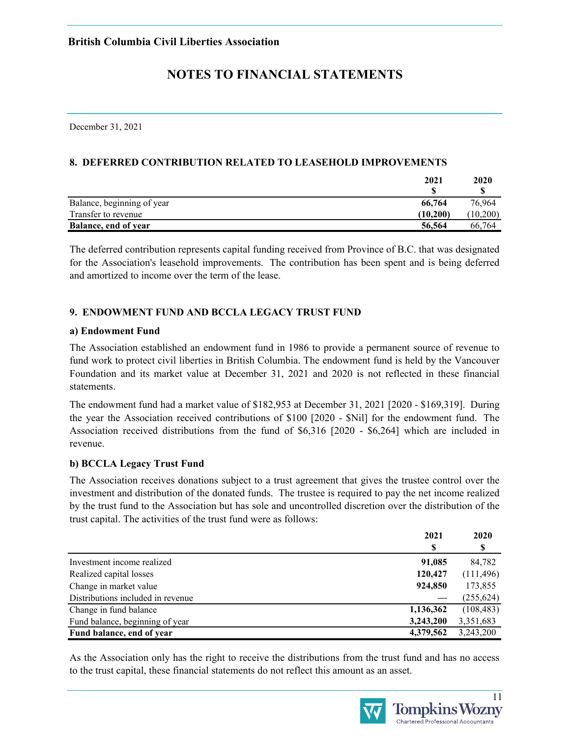#### **British Columbia Civil Liberties Association**

### **NOTES TO FINANCIAL STATEMENTS**

December 31, 2021

#### **8. DEFERRED CONTRIBUTION RELATED TO LEASEHOLD IMPROVEMENTS**

|                             | 2021     | 2020      |
|-----------------------------|----------|-----------|
|                             |          |           |
| Balance, beginning of year  | 66,764   | 76.964    |
| Transfer to revenue         | (10.200) | (10, 200) |
| <b>Balance, end of year</b> | 56,564   | 66,764    |

The deferred contribution represents capital funding received from Province of B.C. that was designated for the Association's leasehold improvements. The contribution has been spent and is being deferred and amortized to income over the term of the lease.

### **9. ENDOWMENT FUND AND BCCLA LEGACY TRUST FUND**

#### **a) Endowment Fund**

The Association established an endowment fund in 1986 to provide a permanent source of revenue to fund work to protect civil liberties in British Columbia. The endowment fund is held by the Vancouver Foundation and its market value at December 31, 2021 and 2020 is not reflected in these financial statements.

The endowment fund had a market value of \$182,953 at December 31, 2021 [2020 - \$169,319]. During the year the Association received contributions of \$100 [2020 - \$Nil] for the endowment fund. The Association received distributions from the fund of \$6,316 [2020 - \$6,264] which are included in revenue.

#### **b) BCCLA Legacy Trust Fund**

The Association receives donations subject to a trust agreement that gives the trustee control over the investment and distribution of the donated funds. The trustee is required to pay the net income realized by the trust fund to the Association but has sole and uncontrolled discretion over the distribution of the trust capital. The activities of the trust fund were as follows:

|                                   | 2021      | 2020<br>\$ |
|-----------------------------------|-----------|------------|
|                                   |           |            |
| Investment income realized        | 91,085    | 84,782     |
| Realized capital losses           | 120,427   | (111, 496) |
| Change in market value            | 924,850   | 173,855    |
| Distributions included in revenue |           | (255, 624) |
| Change in fund balance            | 1,136,362 | (108, 483) |
| Fund balance, beginning of year   | 3,243,200 | 3,351,683  |
| Fund balance, end of year         | 4,379,562 | 3,243,200  |

As the Association only has the right to receive the distributions from the trust fund and has no access to the trust capital, these financial statements do not reflect this amount as an asset.

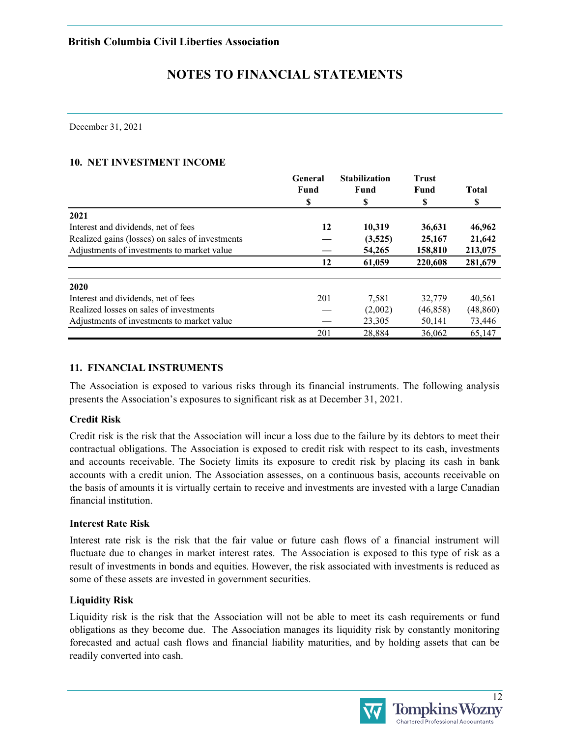December 31, 2021

#### **10. NET INVESTMENT INCOME**

|                                                 | General<br>Fund | <b>Stabilization</b> | <b>Trust</b> | <b>Total</b> |
|-------------------------------------------------|-----------------|----------------------|--------------|--------------|
|                                                 |                 | Fund                 | Fund         |              |
|                                                 | \$              | S                    | S            | \$           |
| 2021                                            |                 |                      |              |              |
| Interest and dividends, net of fees             | 12              | 10,319               | 36,631       | 46,962       |
| Realized gains (losses) on sales of investments |                 | (3,525)              | 25,167       | 21,642       |
| Adjustments of investments to market value      |                 | 54,265               | 158,810      | 213,075      |
|                                                 | 12              | 61,059               | 220,608      | 281,679      |
| 2020                                            |                 |                      |              |              |
| Interest and dividends, net of fees             | 201             | 7,581                | 32,779       | 40,561       |
| Realized losses on sales of investments         |                 | (2,002)              | (46, 858)    | (48, 860)    |
| Adjustments of investments to market value      |                 | 23,305               | 50,141       | 73,446       |
|                                                 | 201             | 28,884               | 36,062       | 65,147       |

#### **11. FINANCIAL INSTRUMENTS**

The Association is exposed to various risks through its financial instruments. The following analysis presents the Association's exposures to significant risk as at December 31, 2021.

#### **Credit Risk**

Credit risk is the risk that the Association will incur a loss due to the failure by its debtors to meet their contractual obligations. The Association is exposed to credit risk with respect to its cash, investments and accounts receivable. The Society limits its exposure to credit risk by placing its cash in bank accounts with a credit union. The Association assesses, on a continuous basis, accounts receivable on the basis of amounts it is virtually certain to receive and investments are invested with a large Canadian financial institution.

#### **Interest Rate Risk**

Interest rate risk is the risk that the fair value or future cash flows of a financial instrument will fluctuate due to changes in market interest rates. The Association is exposed to this type of risk as a result of investments in bonds and equities. However, the risk associated with investments is reduced as some of these assets are invested in government securities.

#### **Liquidity Risk**

Liquidity risk is the risk that the Association will not be able to meet its cash requirements or fund obligations as they become due. The Association manages its liquidity risk by constantly monitoring forecasted and actual cash flows and financial liability maturities, and by holding assets that can be readily converted into cash.



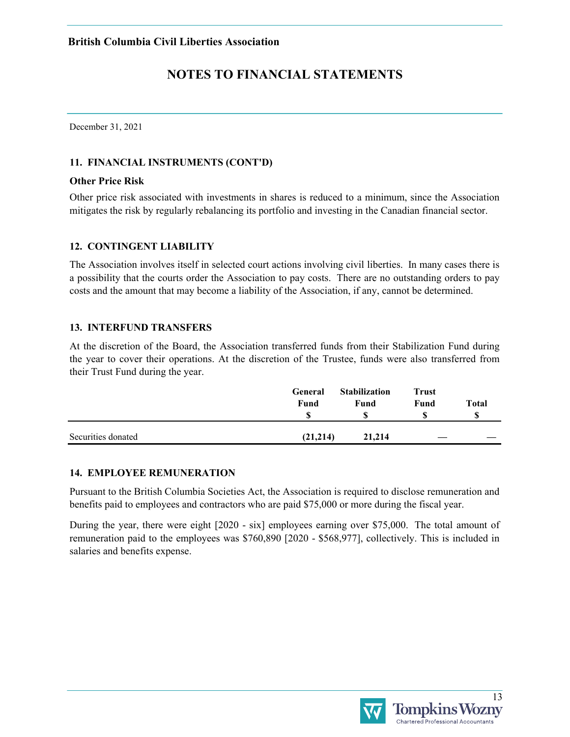December 31, 2021

### **11. FINANCIAL INSTRUMENTS (CONT'D)**

#### **Other Price Risk**

Other price risk associated with investments in shares is reduced to a minimum, since the Association mitigates the risk by regularly rebalancing its portfolio and investing in the Canadian financial sector.

### **12. CONTINGENT LIABILITY**

The Association involves itself in selected court actions involving civil liberties. In many cases there is a possibility that the courts order the Association to pay costs. There are no outstanding orders to pay costs and the amount that may become a liability of the Association, if any, cannot be determined.

#### **13. INTERFUND TRANSFERS**

At the discretion of the Board, the Association transferred funds from their Stabilization Fund during the year to cover their operations. At the discretion of the Trustee, funds were also transferred from their Trust Fund during the year.

|                    | <b>General</b><br>Fund | <b>Stabilization</b><br>Fund | Trust<br>Fund | Total |
|--------------------|------------------------|------------------------------|---------------|-------|
|                    |                        | ¢                            |               |       |
| Securities donated | (21,214)               | 21,214                       |               |       |

### **14. EMPLOYEE REMUNERATION**

Pursuant to the British Columbia Societies Act, the Association is required to disclose remuneration and benefits paid to employees and contractors who are paid \$75,000 or more during the fiscal year.

During the year, there were eight [2020 - six] employees earning over \$75,000. The total amount of remuneration paid to the employees was \$760,890 [2020 - \$568,977], collectively. This is included in salaries and benefits expense.

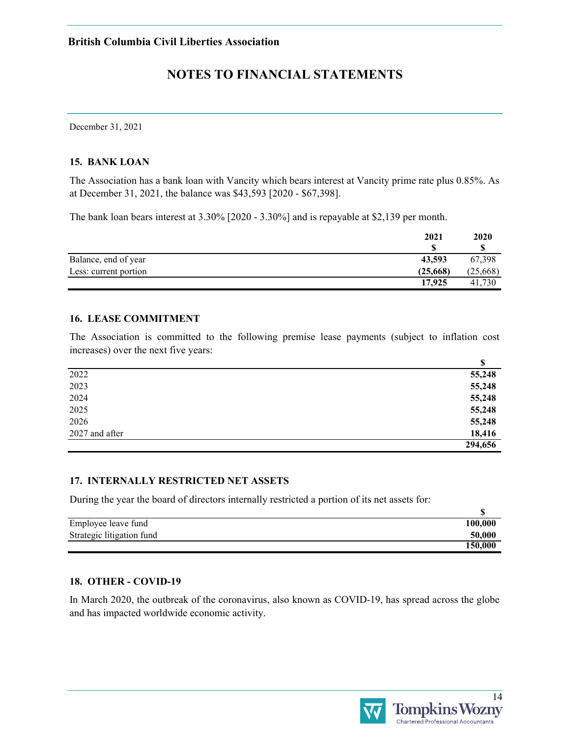December 31, 2021

#### **15. BANK LOAN**

The Association has a bank loan with Vancity which bears interest at Vancity prime rate plus 0.85%. As at December 31, 2021, the balance was \$43,593 [2020 - \$67,398].

The bank loan bears interest at 3.30% [2020 - 3.30%] and is repayable at \$2,139 per month.

|                       | 2021     | 2020        |
|-----------------------|----------|-------------|
|                       |          |             |
| Balance, end of year  | 43,593   | 67,398      |
| Less: current portion | (25,668) | (25,668)    |
|                       | 17.925   | .730<br>41. |

#### **16. LEASE COMMITMENT**

The Association is committed to the following premise lease payments (subject to inflation cost increases) over the next five years:

|                | \$      |
|----------------|---------|
| 2022           | 55,248  |
| 2023           | 55,248  |
| 2024           | 55,248  |
| 2025           | 55,248  |
| 2026           | 55,248  |
| 2027 and after | 18,416  |
|                | 294,656 |

#### **17. INTERNALLY RESTRICTED NET ASSETS**

During the year the board of directors internally restricted a portion of its net assets for:

| Employee leave fund       | 100.000 |
|---------------------------|---------|
| Strategic litigation fund | 50,000  |
|                           | 150,000 |

#### **18. OTHER - COVID-19**

In March 2020, the outbreak of the coronavirus, also known as COVID-19, has spread across the globe and has impacted worldwide economic activity.